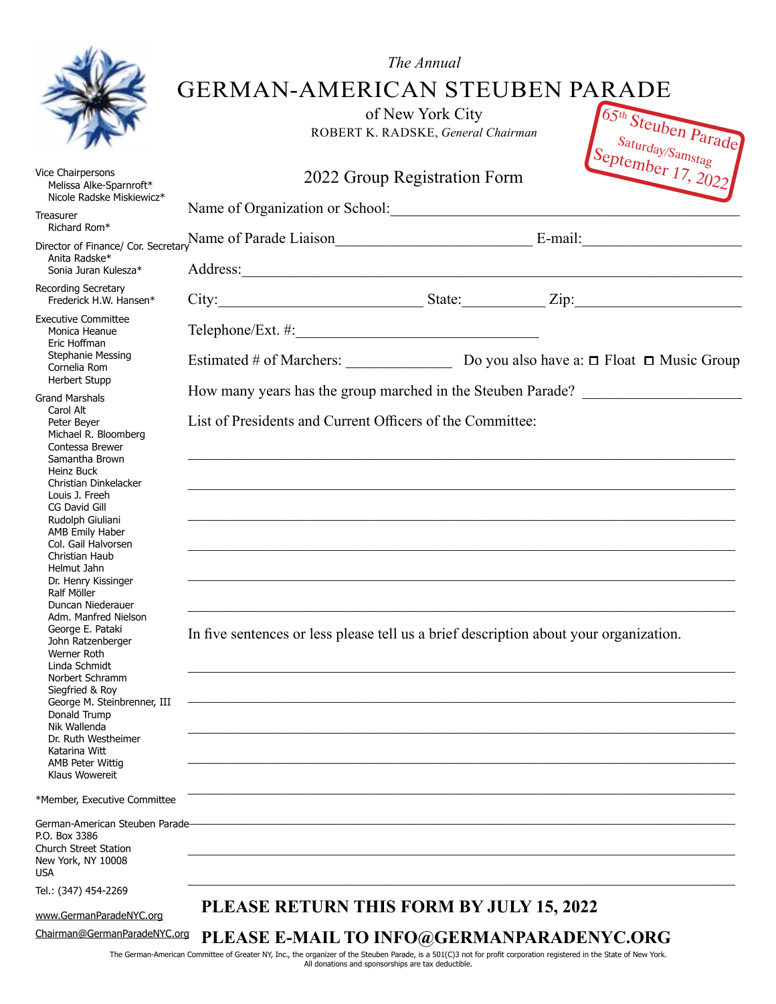|                                                                                                                                                                                                                                                                                                                                                                                                                                                                                                    | <b>GERMAN-AMERICAN STEUBEN PARADE</b>                                                                                                                                                                                         | The Annual<br>of New York City<br>ROBERT K. RADSKE, General Chairman | 65th Steuben Parade<br>$\sqrt{\frac{S_{aturd_{U\setminus I_1}}}{S_{aturd_{a}}}}$ September 17, 2022 |
|----------------------------------------------------------------------------------------------------------------------------------------------------------------------------------------------------------------------------------------------------------------------------------------------------------------------------------------------------------------------------------------------------------------------------------------------------------------------------------------------------|-------------------------------------------------------------------------------------------------------------------------------------------------------------------------------------------------------------------------------|----------------------------------------------------------------------|-----------------------------------------------------------------------------------------------------|
| Vice Chairpersons<br>Melissa Alke-Sparnroft*<br>Nicole Radske Miskiewicz*                                                                                                                                                                                                                                                                                                                                                                                                                          | 2022 Group Registration Form                                                                                                                                                                                                  |                                                                      |                                                                                                     |
| Treasurer<br>Richard Rom*                                                                                                                                                                                                                                                                                                                                                                                                                                                                          | Name of Organization or School: Name of Organization or School:                                                                                                                                                               |                                                                      |                                                                                                     |
| Anita Radske*                                                                                                                                                                                                                                                                                                                                                                                                                                                                                      |                                                                                                                                                                                                                               |                                                                      |                                                                                                     |
| Sonia Juran Kulesza*                                                                                                                                                                                                                                                                                                                                                                                                                                                                               |                                                                                                                                                                                                                               |                                                                      |                                                                                                     |
| Recording Secretary<br>Frederick H.W. Hansen*                                                                                                                                                                                                                                                                                                                                                                                                                                                      | City: City: City: City: City: City: City: City: City: City: City: City: City: City: City: City: City: City: City: City: City: City: City: City: City: City: City: City: City: City: City: City: City: City: City: City: City: |                                                                      |                                                                                                     |
| <b>Executive Committee</b><br>Monica Heanue<br>Eric Hoffman                                                                                                                                                                                                                                                                                                                                                                                                                                        |                                                                                                                                                                                                                               |                                                                      |                                                                                                     |
| <b>Stephanie Messing</b><br>Cornelia Rom                                                                                                                                                                                                                                                                                                                                                                                                                                                           | Estimated # of Marchers: Do you also have a: $\Box$ Float $\Box$ Music Group                                                                                                                                                  |                                                                      |                                                                                                     |
| <b>Herbert Stupp</b><br><b>Grand Marshals</b><br>Carol Alt                                                                                                                                                                                                                                                                                                                                                                                                                                         | How many years has the group marched in the Steuben Parade?                                                                                                                                                                   |                                                                      |                                                                                                     |
| Peter Beyer<br>Michael R. Bloomberg<br>Contessa Brewer<br>Samantha Brown<br>Heinz Buck<br>Christian Dinkelacker<br>Louis J. Freeh<br>CG David Gill<br>Rudolph Giuliani<br>AMB Emily Haber<br>Col. Gail Halvorsen<br>Christian Haub<br>Helmut Jahn<br>Dr. Henry Kissinger<br>Ralf Möller<br>Duncan Niederauer<br>Adm. Manfred Nielson<br>George E. Pataki<br>John Ratzenberger<br>Werner Roth<br>Linda Schmidt<br>Norbert Schramm<br>Siegfried & Roy<br>George M. Steinbrenner, III<br>Donald Trump | List of Presidents and Current Officers of the Committee:<br>In five sentences or less please tell us a brief description about your organization.                                                                            |                                                                      |                                                                                                     |
| Nik Wallenda<br>Dr. Ruth Westheimer<br>Katarina Witt<br><b>AMB Peter Wittig</b><br>Klaus Wowereit                                                                                                                                                                                                                                                                                                                                                                                                  |                                                                                                                                                                                                                               |                                                                      |                                                                                                     |
| *Member, Executive Committee                                                                                                                                                                                                                                                                                                                                                                                                                                                                       |                                                                                                                                                                                                                               |                                                                      |                                                                                                     |
| German-American Steuben Parade-<br>P.O. Box 3386<br><b>Church Street Station</b><br>New York, NY 10008<br><b>USA</b>                                                                                                                                                                                                                                                                                                                                                                               |                                                                                                                                                                                                                               |                                                                      |                                                                                                     |
| Tel.: (347) 454-2269                                                                                                                                                                                                                                                                                                                                                                                                                                                                               |                                                                                                                                                                                                                               |                                                                      |                                                                                                     |
| www.GermanParadeNYC.org                                                                                                                                                                                                                                                                                                                                                                                                                                                                            | PLEASE RETURN THIS FORM BY JULY 15, 2022                                                                                                                                                                                      |                                                                      |                                                                                                     |
| Chairman@GermanParadeNYC.org                                                                                                                                                                                                                                                                                                                                                                                                                                                                       | PLEASE E-MAIL TO INFO@GERMANPARADENYC.ORG                                                                                                                                                                                     |                                                                      |                                                                                                     |

The German-American Committee of Greater NY, Inc., the organizer of the Steuben Parade, is a 501(C)3 not for profit corporation registered in the State of New York. All donations and sponsorships are tax deductible.